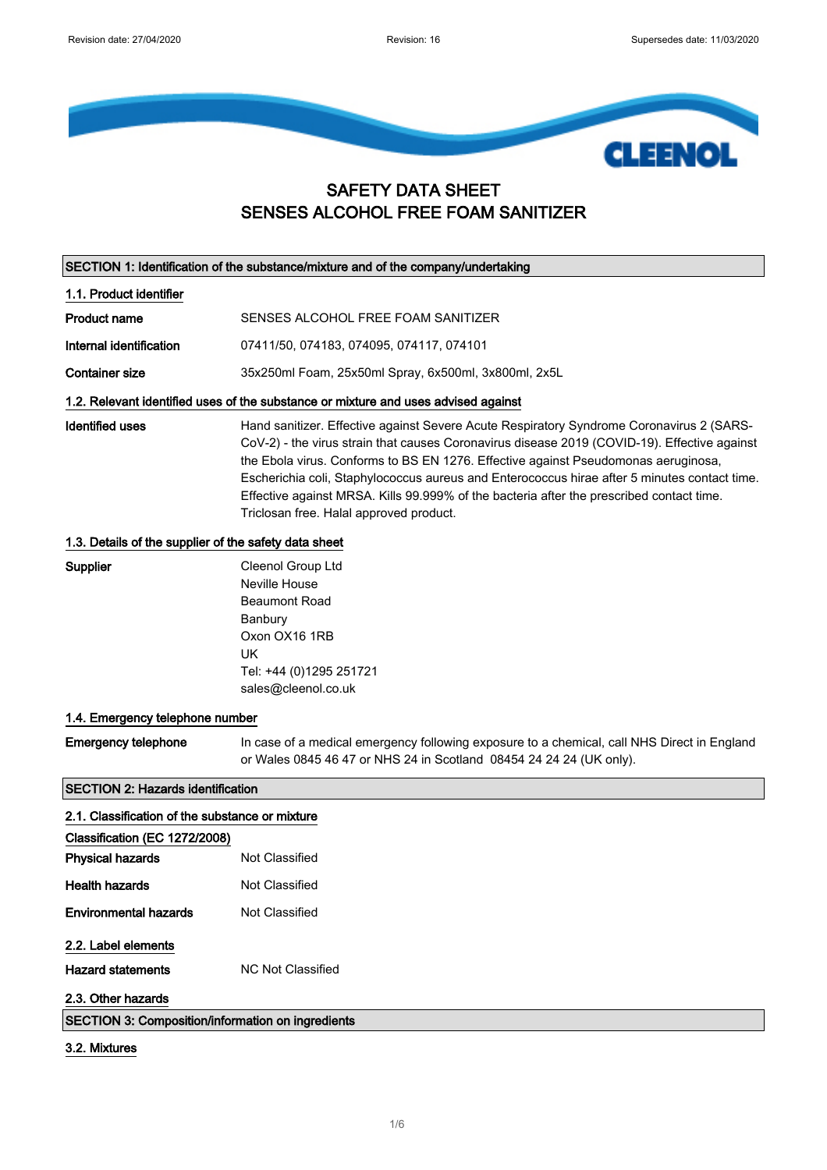

# SAFETY DATA SHEET SENSES ALCOHOL FREE FOAM SANITIZER

| SECTION 1: Identification of the substance/mixture and of the company/undertaking |  |
|-----------------------------------------------------------------------------------|--|
|-----------------------------------------------------------------------------------|--|

1.1. Product identifier

| Product name            | SENSES ALCOHOL FREE FOAM SANITIZER       |
|-------------------------|------------------------------------------|
| Internal identification | 07411/50, 074183, 074095, 074117, 074101 |

Container size 35x250ml Foam, 25x50ml Spray, 6x500ml, 3x800ml, 2x5L

### 1.2. Relevant identified uses of the substance or mixture and uses advised against

Identified uses **Hand sanitizer. Effective against Severe Acute Respiratory Syndrome Coronavirus 2 (SARS-**CoV-2) - the virus strain that causes Coronavirus disease 2019 (COVID-19). Effective against the Ebola virus. Conforms to BS EN 1276. Effective against Pseudomonas aeruginosa, Escherichia coli, Staphylococcus aureus and Enterococcus hirae after 5 minutes contact time. Effective against MRSA. Kills 99.999% of the bacteria after the prescribed contact time. Triclosan free. Halal approved product.

#### 1.3. Details of the supplier of the safety data sheet

# Supplier Cleenol Group Ltd

Neville House Beaumont Road Banbury Oxon OX16 1RB UK Tel: +44 (0)1295 251721 sales@cleenol.co.uk

## 1.4. Emergency telephone number

Emergency telephone In case of a medical emergency following exposure to a chemical, call NHS Direct in England or Wales 0845 46 47 or NHS 24 in Scotland 08454 24 24 24 (UK only).

## SECTION 2: Hazards identification

| 2.1. Classification of the substance or mixture          |                   |
|----------------------------------------------------------|-------------------|
| Classification (EC 1272/2008)                            |                   |
| <b>Physical hazards</b>                                  | Not Classified    |
| <b>Health hazards</b>                                    | Not Classified    |
| <b>Environmental hazards</b>                             | Not Classified    |
| 2.2. Label elements                                      |                   |
| <b>Hazard statements</b>                                 | NC Not Classified |
| 2.3. Other hazards                                       |                   |
| <b>SECTION 3: Composition/information on ingredients</b> |                   |

#### 3.2. Mixtures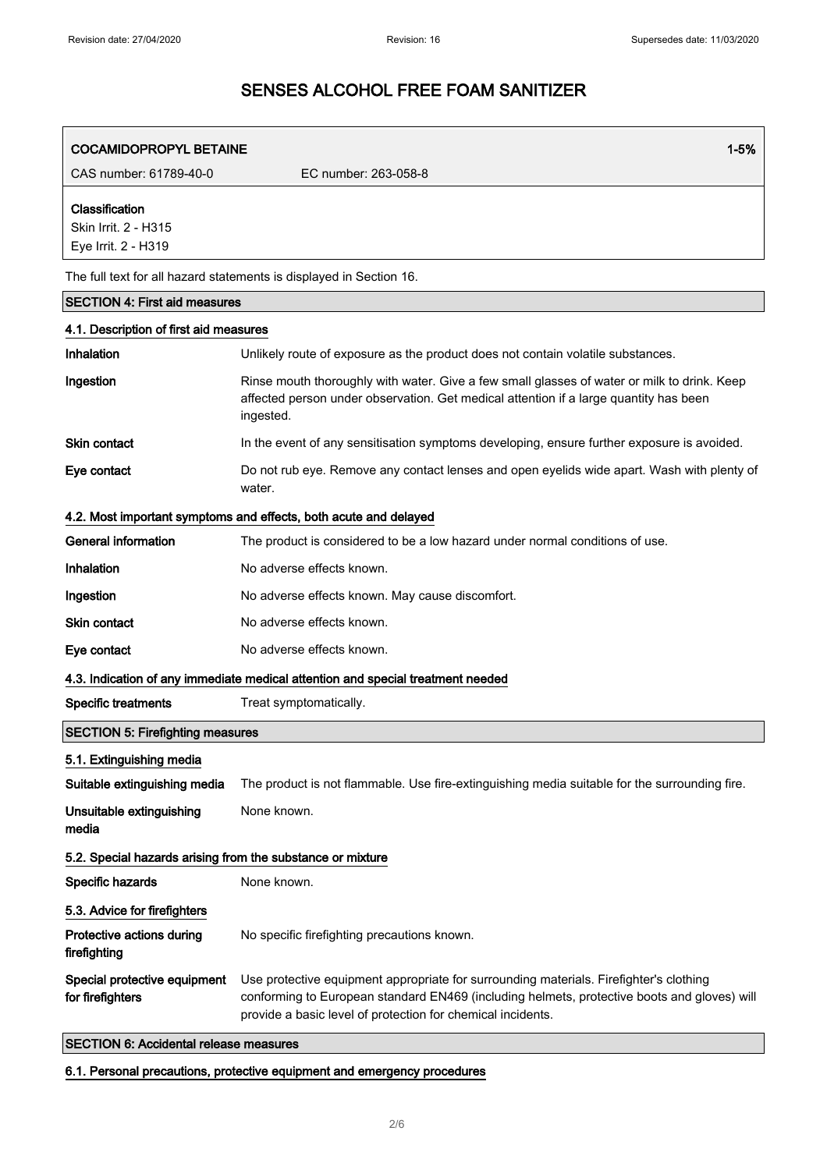| <b>COCAMIDOPROPYL BETAINE</b>                                                   | $1 - 5%$                                                                                                                                                                                                                                             |  |
|---------------------------------------------------------------------------------|------------------------------------------------------------------------------------------------------------------------------------------------------------------------------------------------------------------------------------------------------|--|
| CAS number: 61789-40-0                                                          | EC number: 263-058-8                                                                                                                                                                                                                                 |  |
| Classification<br>Skin Irrit. 2 - H315<br>Eye Irrit. 2 - H319                   |                                                                                                                                                                                                                                                      |  |
|                                                                                 | The full text for all hazard statements is displayed in Section 16.                                                                                                                                                                                  |  |
| <b>SECTION 4: First aid measures</b>                                            |                                                                                                                                                                                                                                                      |  |
| 4.1. Description of first aid measures                                          |                                                                                                                                                                                                                                                      |  |
| Inhalation                                                                      | Unlikely route of exposure as the product does not contain volatile substances.                                                                                                                                                                      |  |
| Ingestion                                                                       | Rinse mouth thoroughly with water. Give a few small glasses of water or milk to drink. Keep<br>affected person under observation. Get medical attention if a large quantity has been<br>ingested.                                                    |  |
| Skin contact                                                                    | In the event of any sensitisation symptoms developing, ensure further exposure is avoided.                                                                                                                                                           |  |
| Eye contact                                                                     | Do not rub eye. Remove any contact lenses and open eyelids wide apart. Wash with plenty of<br>water.                                                                                                                                                 |  |
|                                                                                 | 4.2. Most important symptoms and effects, both acute and delayed                                                                                                                                                                                     |  |
| <b>General information</b>                                                      | The product is considered to be a low hazard under normal conditions of use.                                                                                                                                                                         |  |
| Inhalation                                                                      | No adverse effects known.                                                                                                                                                                                                                            |  |
| Ingestion                                                                       | No adverse effects known. May cause discomfort.                                                                                                                                                                                                      |  |
| <b>Skin contact</b>                                                             | No adverse effects known.                                                                                                                                                                                                                            |  |
| Eye contact                                                                     | No adverse effects known.                                                                                                                                                                                                                            |  |
| 4.3. Indication of any immediate medical attention and special treatment needed |                                                                                                                                                                                                                                                      |  |
| <b>Specific treatments</b>                                                      | Treat symptomatically.                                                                                                                                                                                                                               |  |
| <b>SECTION 5: Firefighting measures</b>                                         |                                                                                                                                                                                                                                                      |  |
| 5.1. Extinguishing media                                                        |                                                                                                                                                                                                                                                      |  |
| Suitable extinguishing media                                                    | The product is not flammable. Use fire-extinguishing media suitable for the surrounding fire.                                                                                                                                                        |  |
| Unsuitable extinguishing<br>media                                               | None known.                                                                                                                                                                                                                                          |  |
| 5.2. Special hazards arising from the substance or mixture                      |                                                                                                                                                                                                                                                      |  |
| Specific hazards                                                                | None known.                                                                                                                                                                                                                                          |  |
| 5.3. Advice for firefighters                                                    |                                                                                                                                                                                                                                                      |  |
| Protective actions during<br>firefighting                                       | No specific firefighting precautions known.                                                                                                                                                                                                          |  |
| Special protective equipment<br>for firefighters                                | Use protective equipment appropriate for surrounding materials. Firefighter's clothing<br>conforming to European standard EN469 (including helmets, protective boots and gloves) will<br>provide a basic level of protection for chemical incidents. |  |

# SECTION 6: Accidental release measures

6.1. Personal precautions, protective equipment and emergency procedures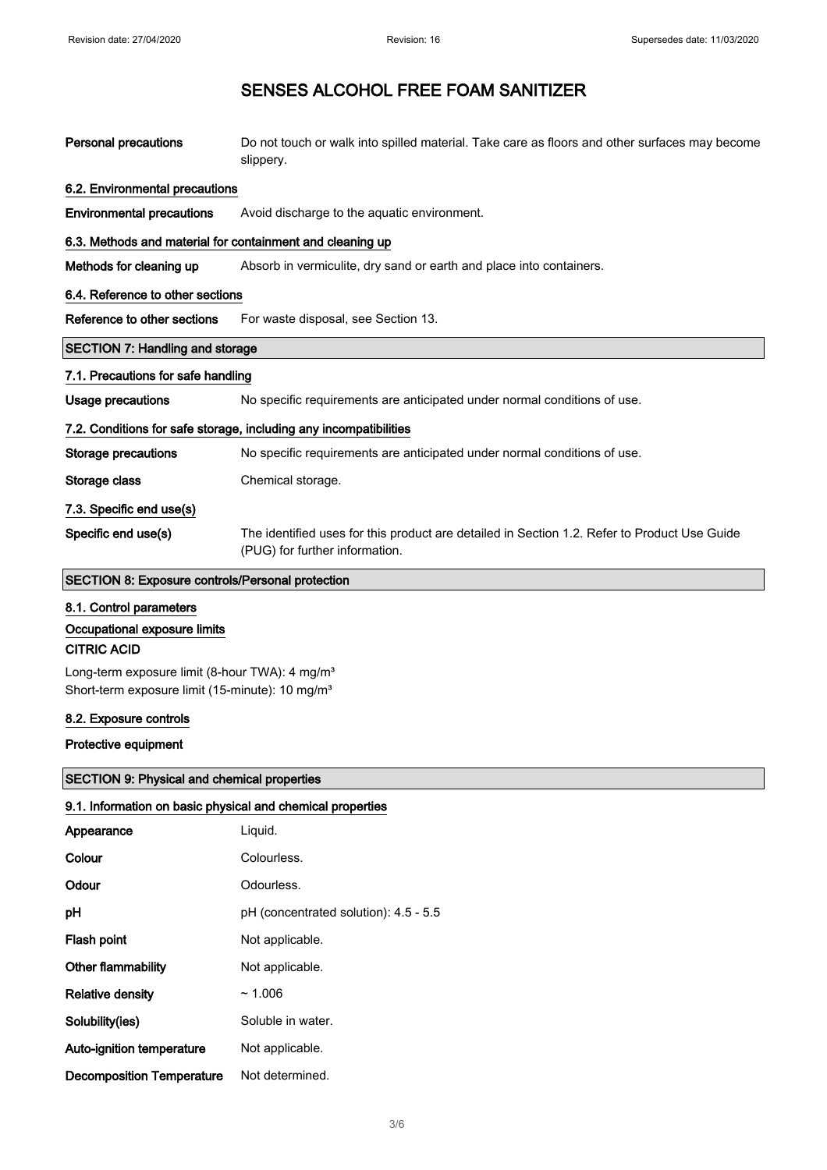| <b>Personal precautions</b>                                                                                                                                                                                | Do not touch or walk into spilled material. Take care as floors and other surfaces may become<br>slippery.                     |
|------------------------------------------------------------------------------------------------------------------------------------------------------------------------------------------------------------|--------------------------------------------------------------------------------------------------------------------------------|
| 6.2. Environmental precautions                                                                                                                                                                             |                                                                                                                                |
| <b>Environmental precautions</b>                                                                                                                                                                           | Avoid discharge to the aquatic environment.                                                                                    |
| 6.3. Methods and material for containment and cleaning up                                                                                                                                                  |                                                                                                                                |
| Methods for cleaning up                                                                                                                                                                                    | Absorb in vermiculite, dry sand or earth and place into containers.                                                            |
| 6.4. Reference to other sections                                                                                                                                                                           |                                                                                                                                |
| Reference to other sections                                                                                                                                                                                | For waste disposal, see Section 13.                                                                                            |
| <b>SECTION 7: Handling and storage</b>                                                                                                                                                                     |                                                                                                                                |
| 7.1. Precautions for safe handling                                                                                                                                                                         |                                                                                                                                |
| <b>Usage precautions</b>                                                                                                                                                                                   | No specific requirements are anticipated under normal conditions of use.                                                       |
|                                                                                                                                                                                                            | 7.2. Conditions for safe storage, including any incompatibilities                                                              |
| <b>Storage precautions</b>                                                                                                                                                                                 | No specific requirements are anticipated under normal conditions of use.                                                       |
| Storage class                                                                                                                                                                                              | Chemical storage.                                                                                                              |
| 7.3. Specific end use(s)                                                                                                                                                                                   |                                                                                                                                |
| Specific end use(s)                                                                                                                                                                                        | The identified uses for this product are detailed in Section 1.2. Refer to Product Use Guide<br>(PUG) for further information. |
| SECTION 8: Exposure controls/Personal protection                                                                                                                                                           |                                                                                                                                |
| 8.1. Control parameters<br>Occupational exposure limits<br><b>CITRIC ACID</b><br>Long-term exposure limit (8-hour TWA): 4 mg/m <sup>3</sup><br>Short-term exposure limit (15-minute): 10 mg/m <sup>3</sup> |                                                                                                                                |
| 8.2. Exposure controls                                                                                                                                                                                     |                                                                                                                                |
| Protective equipment                                                                                                                                                                                       |                                                                                                                                |
| <b>SECTION 9: Physical and chemical properties</b>                                                                                                                                                         |                                                                                                                                |
| 9.1. Information on basic physical and chemical properties                                                                                                                                                 |                                                                                                                                |
| Appearance                                                                                                                                                                                                 | Liquid.                                                                                                                        |
| Colour                                                                                                                                                                                                     | Colourless.                                                                                                                    |
| Odour                                                                                                                                                                                                      | Odourless.                                                                                                                     |

pH (concentrated solution): 4.5 - 5.5

Flash point Not applicable.

Other flammability **Not** applicable.

Solubility(ies) Soluble in water. Auto-ignition temperature Not applicable. Decomposition Temperature Not determined.

Relative density  $\sim 1.006$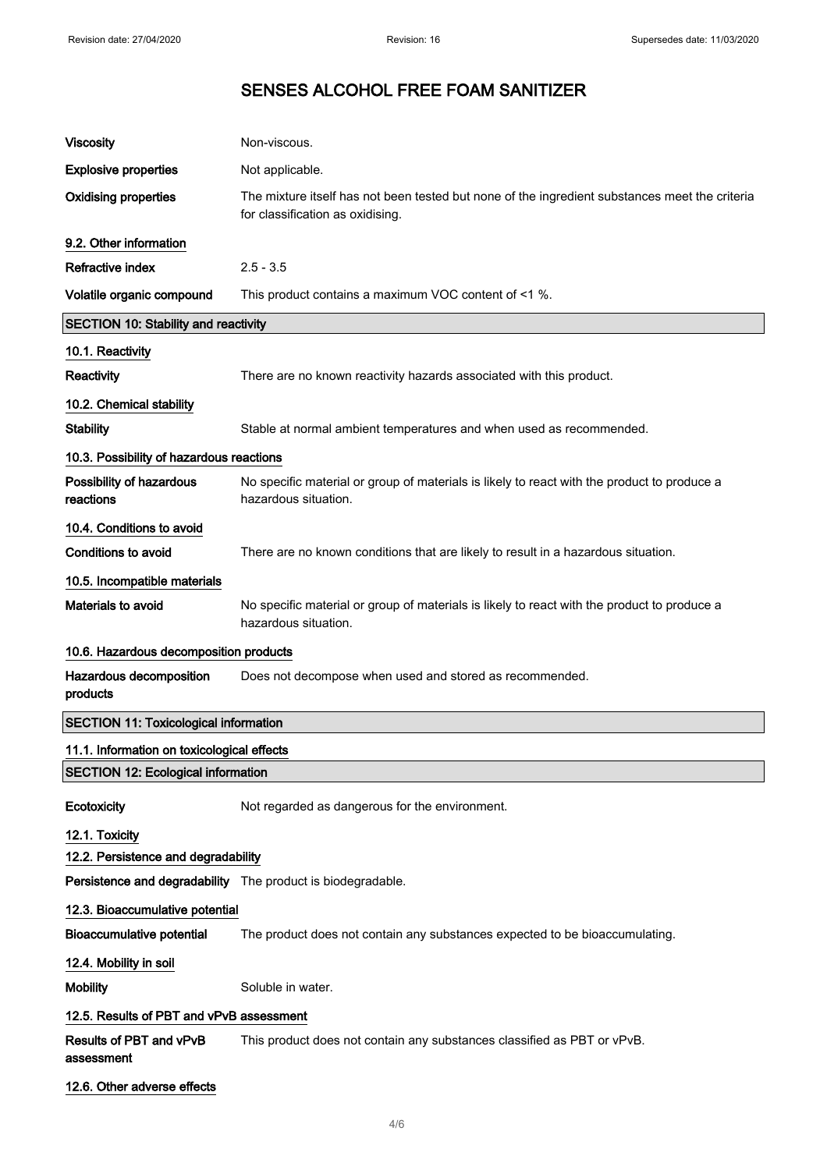| <b>Viscosity</b>                                                                                   | Non-viscous.                                                                                                                       |
|----------------------------------------------------------------------------------------------------|------------------------------------------------------------------------------------------------------------------------------------|
| <b>Explosive properties</b>                                                                        | Not applicable.                                                                                                                    |
| <b>Oxidising properties</b>                                                                        | The mixture itself has not been tested but none of the ingredient substances meet the criteria<br>for classification as oxidising. |
| 9.2. Other information                                                                             |                                                                                                                                    |
| <b>Refractive index</b>                                                                            | $2.5 - 3.5$                                                                                                                        |
| Volatile organic compound                                                                          | This product contains a maximum VOC content of <1 %.                                                                               |
| <b>SECTION 10: Stability and reactivity</b>                                                        |                                                                                                                                    |
| 10.1. Reactivity                                                                                   |                                                                                                                                    |
| Reactivity                                                                                         | There are no known reactivity hazards associated with this product.                                                                |
| 10.2. Chemical stability                                                                           |                                                                                                                                    |
| <b>Stability</b>                                                                                   | Stable at normal ambient temperatures and when used as recommended.                                                                |
| 10.3. Possibility of hazardous reactions                                                           |                                                                                                                                    |
| Possibility of hazardous<br>reactions                                                              | No specific material or group of materials is likely to react with the product to produce a<br>hazardous situation.                |
| 10.4. Conditions to avoid                                                                          |                                                                                                                                    |
| <b>Conditions to avoid</b>                                                                         | There are no known conditions that are likely to result in a hazardous situation.                                                  |
| 10.5. Incompatible materials                                                                       |                                                                                                                                    |
| Materials to avoid                                                                                 | No specific material or group of materials is likely to react with the product to produce a<br>hazardous situation.                |
| 10.6. Hazardous decomposition products                                                             |                                                                                                                                    |
| Hazardous decomposition<br>products                                                                | Does not decompose when used and stored as recommended.                                                                            |
| <b>SECTION 11: Toxicological information</b>                                                       |                                                                                                                                    |
| 11.1. Information on toxicological effects                                                         |                                                                                                                                    |
| <b>SECTION 12: Ecological information</b>                                                          |                                                                                                                                    |
| Ecotoxicity                                                                                        | Not regarded as dangerous for the environment.                                                                                     |
| 12.1. Toxicity                                                                                     |                                                                                                                                    |
| 12.2. Persistence and degradability<br>Persistence and degradability The product is biodegradable. |                                                                                                                                    |
|                                                                                                    |                                                                                                                                    |
| 12.3. Bioaccumulative potential<br><b>Bioaccumulative potential</b>                                | The product does not contain any substances expected to be bioaccumulating.                                                        |
|                                                                                                    |                                                                                                                                    |
| 12.4. Mobility in soil                                                                             | Soluble in water.                                                                                                                  |
| <b>Mobility</b>                                                                                    |                                                                                                                                    |
| 12.5. Results of PBT and vPvB assessment                                                           |                                                                                                                                    |
| Results of PBT and vPvB<br>assessment                                                              | This product does not contain any substances classified as PBT or vPvB.                                                            |
| 12.6. Other adverse effects                                                                        |                                                                                                                                    |

4/ 6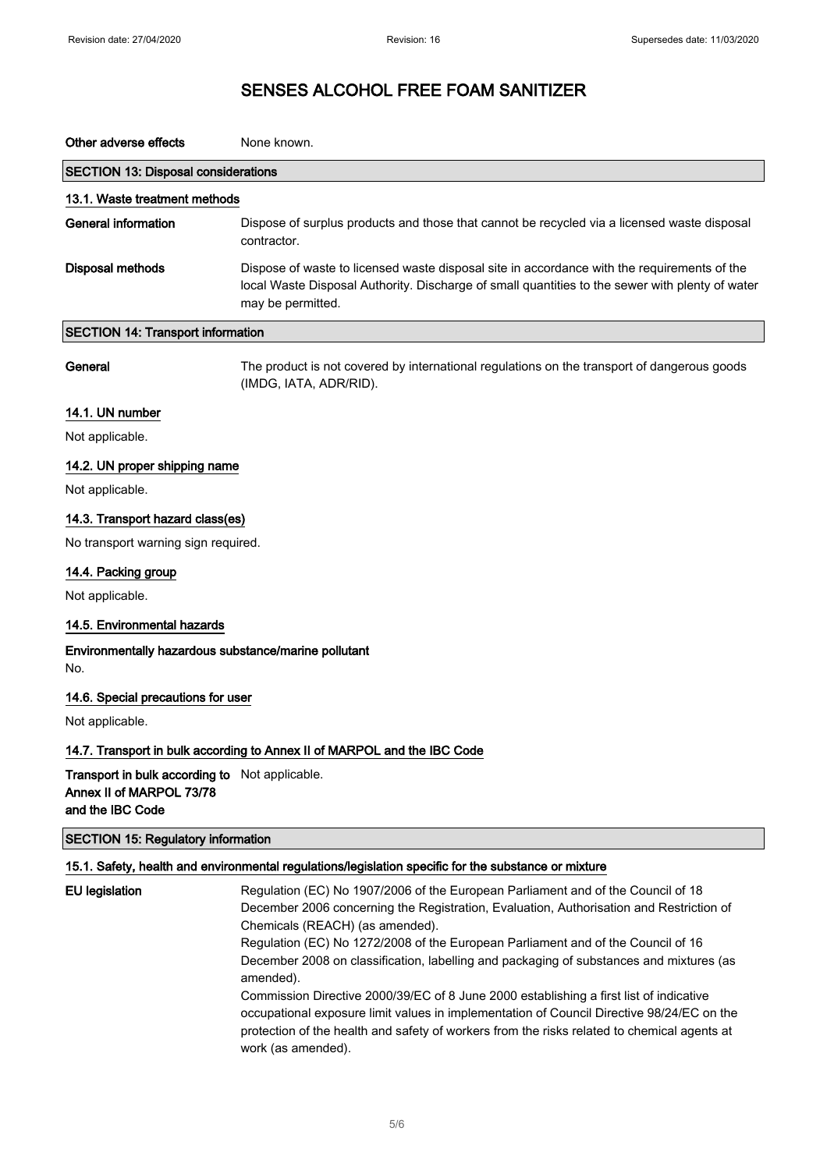| Other adverse effects                                                      | None known.                                                                                                                                                                                                         |
|----------------------------------------------------------------------------|---------------------------------------------------------------------------------------------------------------------------------------------------------------------------------------------------------------------|
| <b>SECTION 13: Disposal considerations</b>                                 |                                                                                                                                                                                                                     |
| 13.1. Waste treatment methods                                              |                                                                                                                                                                                                                     |
| <b>General information</b>                                                 | Dispose of surplus products and those that cannot be recycled via a licensed waste disposal<br>contractor.                                                                                                          |
| <b>Disposal methods</b>                                                    | Dispose of waste to licensed waste disposal site in accordance with the requirements of the<br>local Waste Disposal Authority. Discharge of small quantities to the sewer with plenty of water<br>may be permitted. |
| <b>SECTION 14: Transport information</b>                                   |                                                                                                                                                                                                                     |
| General                                                                    | The product is not covered by international regulations on the transport of dangerous goods<br>(IMDG, IATA, ADR/RID).                                                                                               |
| 14.1. UN number                                                            |                                                                                                                                                                                                                     |
| Not applicable.                                                            |                                                                                                                                                                                                                     |
| 14.2. UN proper shipping name                                              |                                                                                                                                                                                                                     |
| Not applicable.                                                            |                                                                                                                                                                                                                     |
| 14.3. Transport hazard class(es)                                           |                                                                                                                                                                                                                     |
| No transport warning sign required.                                        |                                                                                                                                                                                                                     |
| 14.4. Packing group                                                        |                                                                                                                                                                                                                     |
| Not applicable.                                                            |                                                                                                                                                                                                                     |
| 14.5. Environmental hazards                                                |                                                                                                                                                                                                                     |
| Environmentally hazardous substance/marine pollutant<br>No.                |                                                                                                                                                                                                                     |
| 14.6. Special precautions for user                                         |                                                                                                                                                                                                                     |
| Not applicable.                                                            |                                                                                                                                                                                                                     |
|                                                                            | 14.7. Transport in bulk according to Annex II of MARPOL and the IBC Code                                                                                                                                            |
| Transport in bulk according to Not applicable.<br>Annex II of MARPOL 73/78 |                                                                                                                                                                                                                     |

and the IBC Code

| SECTION 15: Regulatory information |  |
|------------------------------------|--|
|------------------------------------|--|

# 15.1. Safety, health and environmental regulations/legislation specific for the substance or mixture

EU legislation Regulation (EC) No 1907/2006 of the European Parliament and of the Council of 18 December 2006 concerning the Registration, Evaluation, Authorisation and Restriction of Chemicals (REACH) (as amended). Regulation (EC) No 1272/2008 of the European Parliament and of the Council of 16 December 2008 on classification, labelling and packaging of substances and mixtures (as amended). Commission Directive 2000/39/EC of 8 June 2000 establishing a first list of indicative occupational exposure limit values in implementation of Council Directive 98/24/EC on the protection of the health and safety of workers from the risks related to chemical agents at work (as amended).